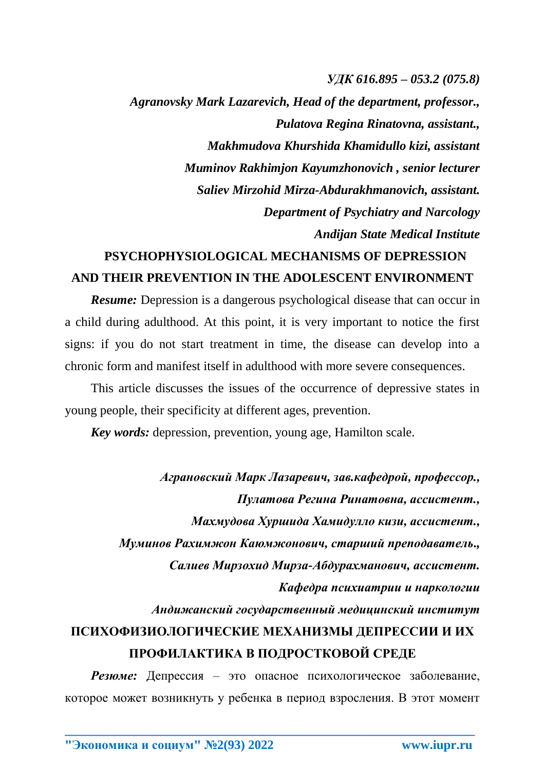## *УДК 616.895 – 053.2 (075.8)*

*Agranovsky Mark Lazarevich, Head of the department, professor., Pulatova Regina Rinatovna, assistant., Makhmudova Khurshida Khamidullo kizi, assistant Muminov Rakhimjon Kayumzhonovich , senior lecturer Saliev Mirzohid Mirza-Abdurakhmanovich, assistant. Department of Psychiatry and Narcology Andijan State Medical Institute*

## **PSYCHOPHYSIOLOGICAL MECHANISMS OF DEPRESSION AND THEIR PREVENTION IN THE ADOLESCENT ENVIRONMENT**

*Resume:* Depression is a dangerous psychological disease that can occur in a child during adulthood. At this point, it is very important to notice the first signs: if you do not start treatment in time, the disease can develop into a chronic form and manifest itself in adulthood with more severe consequences.

This article discusses the issues of the occurrence of depressive states in young people, their specificity at different ages, prevention.

*Key words:* depression, prevention, young age, Hamilton scale.

*Аграновский Марк Лазаревич, зав.кафедрой, профессор., Пулатова Регина Ринатовна, ассистент., Махмудова Хуршида Хамидулло кизи, ассистент., Муминов Рахимжон Каюмжонович, старший преподаватель., Салиев Мирзохид Мирза-Абдурахманович, ассистент. Кафедра психиатрии и наркологии Андижанский государственный медицинский институт* **ПСИХОФИЗИОЛОГИЧЕСКИЕ МЕХАНИЗМЫ ДЕПРЕССИИ И ИХ ПРОФИЛАКТИКА В ПОДРОСТКОВОЙ СРЕДЕ**

*Резюме:* Депрессия – это опасное психологическое заболевание, которое может возникнуть у ребенка в период взросления. В этот момент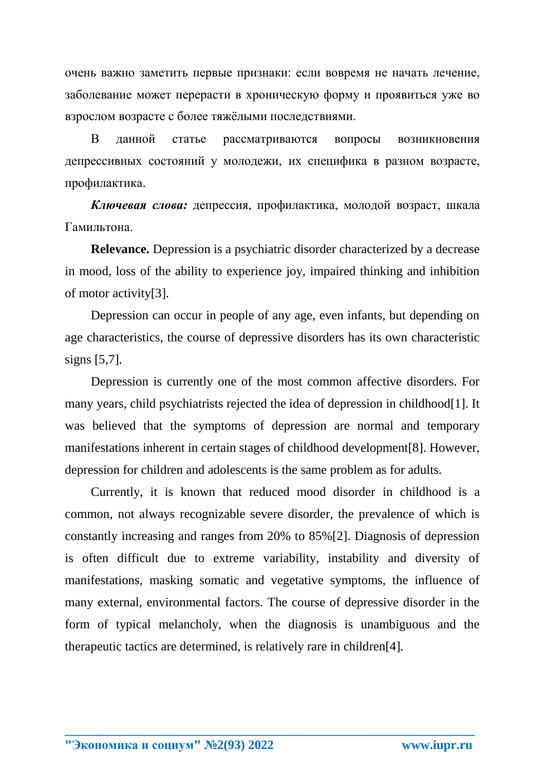очень важно заметить первые признаки: если вовремя не начать лечение, заболевание может перерасти в хроническую форму и проявиться уже во взрослом возрасте с более тяжёлыми последствиями.

В данной статье рассматриваются вопросы возникновения депрессивных состояний у молодежи, их специфика в разном возрасте, профилактика.

*Ключевая слова:* депрессия, профилактика, молодой возраст, шкала Гамильтона.

**Relevance.** Depression is a psychiatric disorder characterized by a decrease in mood, loss of the ability to experience joy, impaired thinking and inhibition of motor activity[3].

Depression can occur in people of any age, even infants, but depending on age characteristics, the course of depressive disorders has its own characteristic signs [5,7].

Depression is currently one of the most common affective disorders. For many years, child psychiatrists rejected the idea of depression in childhood[1]. It was believed that the symptoms of depression are normal and temporary manifestations inherent in certain stages of childhood development[8]. However, depression for children and adolescents is the same problem as for adults.

Currently, it is known that reduced mood disorder in childhood is a common, not always recognizable severe disorder, the prevalence of which is constantly increasing and ranges from 20% to 85%[2]. Diagnosis of depression is often difficult due to extreme variability, instability and diversity of manifestations, masking somatic and vegetative symptoms, the influence of many external, environmental factors. The course of depressive disorder in the form of typical melancholy, when the diagnosis is unambiguous and the therapeutic tactics are determined, is relatively rare in children[4].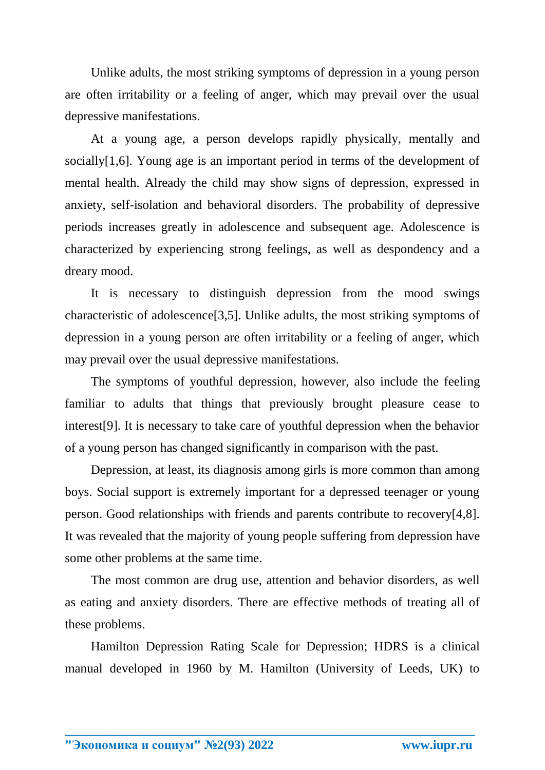Unlike adults, the most striking symptoms of depression in a young person are often irritability or a feeling of anger, which may prevail over the usual depressive manifestations.

At a young age, a person develops rapidly physically, mentally and socially[1,6]. Young age is an important period in terms of the development of mental health. Already the child may show signs of depression, expressed in anxiety, self-isolation and behavioral disorders. The probability of depressive periods increases greatly in adolescence and subsequent age. Adolescence is characterized by experiencing strong feelings, as well as despondency and a dreary mood.

It is necessary to distinguish depression from the mood swings characteristic of adolescence[3,5]. Unlike adults, the most striking symptoms of depression in a young person are often irritability or a feeling of anger, which may prevail over the usual depressive manifestations.

The symptoms of youthful depression, however, also include the feeling familiar to adults that things that previously brought pleasure cease to interest[9]. It is necessary to take care of youthful depression when the behavior of a young person has changed significantly in comparison with the past.

Depression, at least, its diagnosis among girls is more common than among boys. Social support is extremely important for a depressed teenager or young person. Good relationships with friends and parents contribute to recovery[4,8]. It was revealed that the majority of young people suffering from depression have some other problems at the same time.

The most common are drug use, attention and behavior disorders, as well as eating and anxiety disorders. There are effective methods of treating all of these problems.

Hamilton Depression Rating Scale for Depression; HDRS is a clinical manual developed in 1960 by M. Hamilton (University of Leeds, UK) to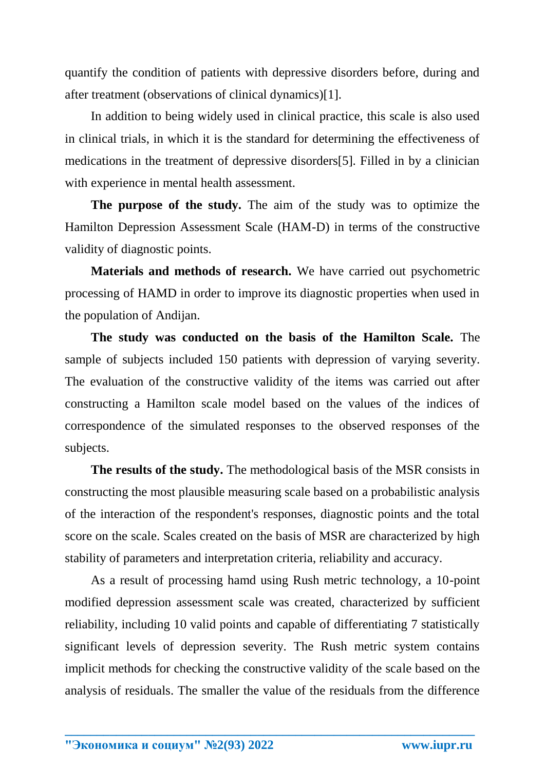quantify the condition of patients with depressive disorders before, during and after treatment (observations of clinical dynamics)[1].

In addition to being widely used in clinical practice, this scale is also used in clinical trials, in which it is the standard for determining the effectiveness of medications in the treatment of depressive disorders[5]. Filled in by a clinician with experience in mental health assessment.

**The purpose of the study.** The aim of the study was to optimize the Hamilton Depression Assessment Scale (HAM-D) in terms of the constructive validity of diagnostic points.

**Materials and methods of research.** We have carried out psychometric processing of HAMD in order to improve its diagnostic properties when used in the population of Andijan.

**The study was conducted on the basis of the Hamilton Scale.** The sample of subjects included 150 patients with depression of varying severity. The evaluation of the constructive validity of the items was carried out after constructing a Hamilton scale model based on the values of the indices of correspondence of the simulated responses to the observed responses of the subjects.

**The results of the study.** The methodological basis of the MSR consists in constructing the most plausible measuring scale based on a probabilistic analysis of the interaction of the respondent's responses, diagnostic points and the total score on the scale. Scales created on the basis of MSR are characterized by high stability of parameters and interpretation criteria, reliability and accuracy.

As a result of processing hamd using Rush metric technology, a 10-point modified depression assessment scale was created, characterized by sufficient reliability, including 10 valid points and capable of differentiating 7 statistically significant levels of depression severity. The Rush metric system contains implicit methods for checking the constructive validity of the scale based on the analysis of residuals. The smaller the value of the residuals from the difference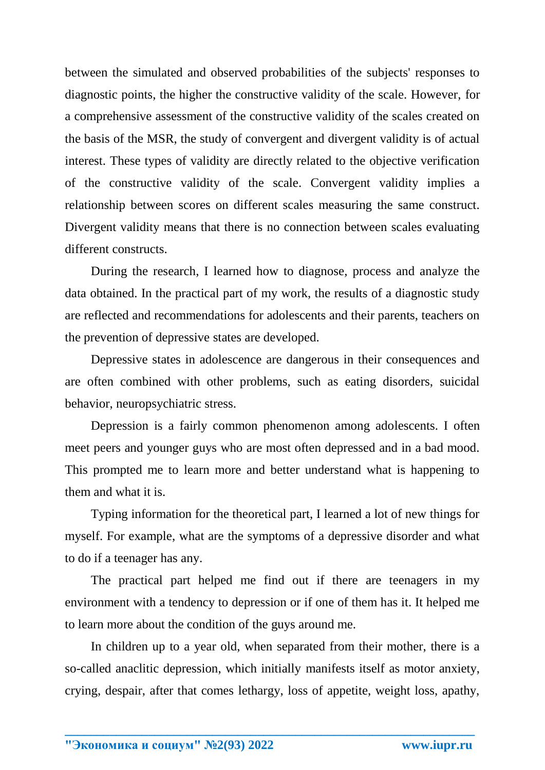between the simulated and observed probabilities of the subjects' responses to diagnostic points, the higher the constructive validity of the scale. However, for a comprehensive assessment of the constructive validity of the scales created on the basis of the MSR, the study of convergent and divergent validity is of actual interest. These types of validity are directly related to the objective verification of the constructive validity of the scale. Convergent validity implies a relationship between scores on different scales measuring the same construct. Divergent validity means that there is no connection between scales evaluating different constructs.

During the research, I learned how to diagnose, process and analyze the data obtained. In the practical part of my work, the results of a diagnostic study are reflected and recommendations for adolescents and their parents, teachers on the prevention of depressive states are developed.

Depressive states in adolescence are dangerous in their consequences and are often combined with other problems, such as eating disorders, suicidal behavior, neuropsychiatric stress.

Depression is a fairly common phenomenon among adolescents. I often meet peers and younger guys who are most often depressed and in a bad mood. This prompted me to learn more and better understand what is happening to them and what it is.

Typing information for the theoretical part, I learned a lot of new things for myself. For example, what are the symptoms of a depressive disorder and what to do if a teenager has any.

The practical part helped me find out if there are teenagers in my environment with a tendency to depression or if one of them has it. It helped me to learn more about the condition of the guys around me.

In children up to a year old, when separated from their mother, there is a so-called anaclitic depression, which initially manifests itself as motor anxiety, crying, despair, after that comes lethargy, loss of appetite, weight loss, apathy,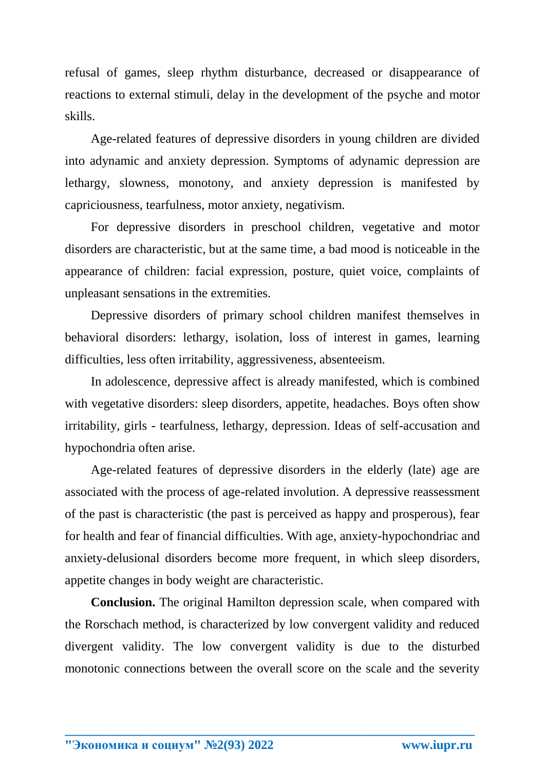refusal of games, sleep rhythm disturbance, decreased or disappearance of reactions to external stimuli, delay in the development of the psyche and motor skills.

Age-related features of depressive disorders in young children are divided into adynamic and anxiety depression. Symptoms of adynamic depression are lethargy, slowness, monotony, and anxiety depression is manifested by capriciousness, tearfulness, motor anxiety, negativism.

For depressive disorders in preschool children, vegetative and motor disorders are characteristic, but at the same time, a bad mood is noticeable in the appearance of children: facial expression, posture, quiet voice, complaints of unpleasant sensations in the extremities.

Depressive disorders of primary school children manifest themselves in behavioral disorders: lethargy, isolation, loss of interest in games, learning difficulties, less often irritability, aggressiveness, absenteeism.

In adolescence, depressive affect is already manifested, which is combined with vegetative disorders: sleep disorders, appetite, headaches. Boys often show irritability, girls - tearfulness, lethargy, depression. Ideas of self-accusation and hypochondria often arise.

Age-related features of depressive disorders in the elderly (late) age are associated with the process of age-related involution. A depressive reassessment of the past is characteristic (the past is perceived as happy and prosperous), fear for health and fear of financial difficulties. With age, anxiety-hypochondriac and anxiety-delusional disorders become more frequent, in which sleep disorders, appetite changes in body weight are characteristic.

**Conclusion.** The original Hamilton depression scale, when compared with the Rorschach method, is characterized by low convergent validity and reduced divergent validity. The low convergent validity is due to the disturbed monotonic connections between the overall score on the scale and the severity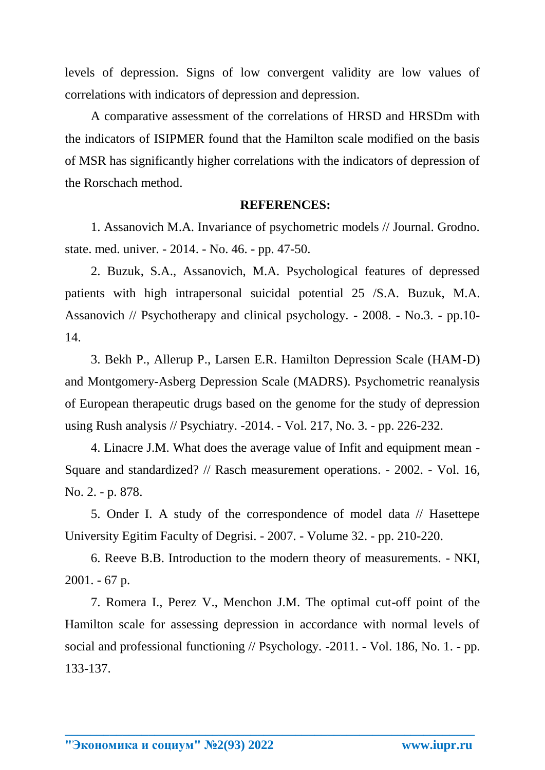levels of depression. Signs of low convergent validity are low values of correlations with indicators of depression and depression.

A comparative assessment of the correlations of HRSD and HRSDm with the indicators of ISIPMER found that the Hamilton scale modified on the basis of MSR has significantly higher correlations with the indicators of depression of the Rorschach method.

## **REFERENCES:**

1. Assanovich M.A. Invariance of psychometric models // Journal. Grodno. state. med. univer. - 2014. - No. 46. - pp. 47-50.

2. Buzuk, S.A., Assanovich, M.A. Psychological features of depressed patients with high intrapersonal suicidal potential 25 /S.A. Buzuk, M.A. Assanovich // Psychotherapy and clinical psychology. - 2008. - No.3. - pp.10- 14.

3. Bekh P., Allerup P., Larsen E.R. Hamilton Depression Scale (HAM-D) and Montgomery-Asberg Depression Scale (MADRS). Psychometric reanalysis of European therapeutic drugs based on the genome for the study of depression using Rush analysis // Psychiatry. -2014. - Vol. 217, No. 3. - pp. 226-232.

4. Linacre J.M. What does the average value of Infit and equipment mean - Square and standardized? // Rasch measurement operations. - 2002. - Vol. 16, No. 2. - p. 878.

5. Onder I. A study of the correspondence of model data // Hasettepe University Egitim Faculty of Degrisi. - 2007. - Volume 32. - pp. 210-220.

6. Reeve B.B. Introduction to the modern theory of measurements. - NKI, 2001. - 67 p.

7. Romera I., Perez V., Menchon J.M. The optimal cut-off point of the Hamilton scale for assessing depression in accordance with normal levels of social and professional functioning // Psychology. -2011. - Vol. 186, No. 1. - pp. 133-137.